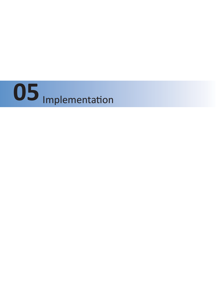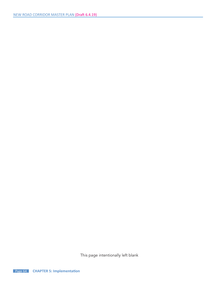This page intentionally left blank

Page 64 **CHAPTER 5: Implementation**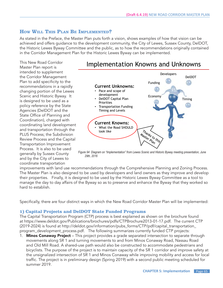## **HOW WILL THIS PLAN BE IMPLEMENTED?**

As stated in the Preface, the Master Plan puts forth a vision, shows examples of how that vision can be achieved and offers guidance to the development community, the City of Lewes, Sussex County, DelDOT, the Historic Lewes Byway Committee and the public, as to how the recommendations originally contained in the Corridor Management Plan for the Historic Lewes Byway can be implemented.

This New Road Corridor Master Plan report is intended to supplement the Corridor Management Plan to add specificity to the recommendations in a rapidly changing portion of the Lewes Scenic and Historic Byway. It is designed to be used as a policy reference by the State Agencies (DelDOT and the State Office of Planning and Coordination), charged with coordinating land development and transportation through the PLUS Process; the Subdivision Review Process and the Capital Transportation Improvement Process. It is also to be used generally by Sussex County and by the City of Lewes to coordinate transportation

# Implementation Knowns and Unknowns



**Kings Highway Gills - Neck Road Master Plan** 6/28/2016 33 *Figure 94 Diagram on "Implementation" from Lewes Scenic and Historic Byway meeting presentation, June 29th, 2016*

improvements with land use recommendations through the Comprehensive Planning and Zoning Process. The Master Plan is also designed to be used by developers and land owners as they improve and develop their properties. Finally, it is designed to be used by the Historic Lewes Byway Committee as a tool to manage the day to day affairs of the Byway so as to preserve and enhance the Byway that they worked so hard to establish.

Specifically, there are four distinct ways in which the New Road Corridor Master Plan will be implemented:

#### **1) Capital Projects and DelDOT State Funded Programs**

The Capital Transportation Program (CTP) process is best explained as shown on the brochure found at<https://www.deldot.gov/Publications/brochures/pdfs/CTPBrochure2013-01-17.pdf>. The current CTP (2019-2024) is found at [http://deldot.gov/information/pubs\\_forms/CTP/pdf/capital\\_transportation\\_](http://deldot.gov/information/pubs_forms/CTP/pdf/capital_transportation_program_development_process.pdf) [program\\_development\\_process.pdf.](http://deldot.gov/information/pubs_forms/CTP/pdf/capital_transportation_program_development_process.pdf) The following summarizes currently funded CTP projects:

1. **Minos Conaway Project** – This project provides a grade separated intersection to separate through movements along SR 1 and turning movements to and from Minos Conaway Road, Nassau Road and Old Mill Road. A shared-use path would also be constructed to accommodate pedestrians and bicyclists. The purpose of the project is to maintain capacity of the SR 1 corridor and improve safety at the unsignalized intersection of SR 1 and Minos Conaway while improving mobility and access for local traffic. The project is in preliminary design (Spring 2019) with a second public meeting scheduled for summer 2019.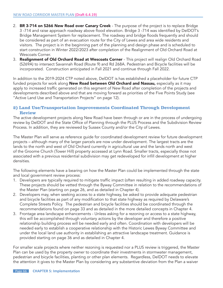- 2. BR 3-714 on S266 New Road over Canary Creek The purpose of the project is to replace Bridge 3 -714 and raise approach roadway above flood elevation. Bridge 3 -714 was identified by DelDOT's Bridge Management System for replacement. The roadway and bridge floods frequently and should be considered as part of an evacuation route for the City of Lewes and area wide residents and visitors. The project is in the beginning part of the planning and design phase and is scheduled to start construction in Winter 2022/2023 after completion of the Realignment of Old Orchard Road at Wescoats Corner.
- 3. Realignment of Old Orchard Road at Wescoats Corner This project will realign Old Orchard Road (S269A) to intersect Savannah Road (Route 9) and Rd 268A. Pedestrian and Bicycle facilities will be incorporated. Construction anticipated in Fall 2021 and continue through Fall 2022.

In addition to the 2019-2024 CTP noted above, DelDOT is has established a placeholder for future CTP funded projects for work along New Road between Old Orchard and Nassau, especially as it may apply to increased traffic generated on this segment of New Road after completion of the projects and developments described above and that are moving forward as priorities of the Five Points Study (see "Active Land Use and Transportation Projects" on page 12).

### **2) Land Use/Transportation Improvements Coordinated Through Development Review**

The active development projects along New Road have been through or are in the process of undergoing review by DelDOT and the State Office of Planning through the PLUS Process and the Subdivision Review Process. In addition, they are reviewed by Sussex County and/or the City of Lewes.

The Master Plan will serve as reference guide for coordinated development review for future development projects – although many of the larger parcels are now under development. The largest tracts are the lands to the north and west of Old Orchard currently in agricultural use and the lands north and west of the Groome Church (Tower Hill) property accessed at Lynn Road. Smaller tracts, especially those not associated with a previous residential subdivision may get redeveloped for infill development at higher densities.

The following elements have a bearing on how the Master Plan could be implemented through the state and local government review process:

- 1. Developers are typically required to mitigate traffic impact (often resulting in added roadway capacity. These projects should be vetted through the Byway Committee in relation to the recommendations of the Master Plan (starting on page 26, and as detailed in Chapter 4).
- 2. Developers may, when seeking access to a state highway, be asked to provide adequate pedestrian and bicycle facilities as part of any modification to that state highway as required by Delaware's Complete Streets Policy. The pedestrian and bicycle facilities should be coordinated through the recommendations found on page 33 and as detailed in the more detailed concepts in Chapter 4.
- 3. Frontage area landscape enhancements Unless asking for a rezoning or access to a state highway, this will be accomplished through voluntary actions by the developer and therefore a positive relationship building process will be needed early and often. Coordination with developers will be needed early to establish a cooperative relationship with the Historic Lewes Byway Committee and under the local land use authority in establishing an attractive landscape treatment. Guidance is provided starting on page 36 and as detailed in Chapter 4.

For smaller scale projects where neither rezoning is requested nor a PLUS review is triggered, the Master Plan can be used by the property owner to coordinate their investments in stormwater management, pedestrian and bicycle facilities, planting or other plan elements. Regardless, DelDOT needs to elevate the attention it gives to the Master Plan by considering any substantive deviation from the Plan a waiver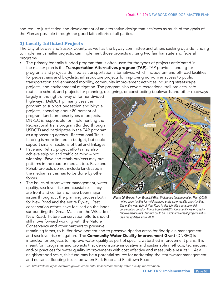and require justification and development of an alternative design that achieves as much of the goals of the Plan as possible through the good faith efforts of all parties.

## **3) Locally Initiated Projects**

The City of Lewes and Sussex County, as well as the Byway committee and others seeking outside funding to implement smaller projects, can implement those projects utilizing two familiar state and federal programs.

The primary federally funded program that is often used for the types of projects anticipated in the master plan is the Transportation Alternatives program (TAP). TAP provides funding for programs and projects defined as transportation alternatives, which include on- and off-road facilities for pedestrians and bicyclists, infrastructure projects for improving non-driver access to public transportation and enhanced mobility, community improvement activities including streetscape projects, and environmental mitigation. The program also covers recreational trail projects, safe routes to school, and projects for planning, designing, or constructing boulevards and other roadways

largely in the right-of-way of former divided highways. DelDOT primarily uses the program to support pedestrian and bicycle projects, spending about 80 percent of program funds on these types of projects. DNREC is responsible for implementing the Recreational Trails program (funded through USDOT) and participates in the TAP program as a sponsoring agency. Recreational Trails funding is more limited in budget, but could support smaller sections of trail and linkages.

- Pave and Rehab project efforts may also achieve striping and traffic calming – not widening. Pave and rehab projects may put patterns in the road or median too. Pave and Rehab projects do not include landscape in the median as this has to be done by other forces.
- The issues of stormwater management, water quality, sea level rise and coastal resiliency are front and center and have been major issues throughout the planning process both for New Road and the entire Byway. Past conservation efforts have focused on the lands surrounding the Great Marsh on the WB side of New Road. Future conservation efforts should still move forward working with the Nature Conservancy and other partners to preserve



*Figure 95 Excerpt from Broadkill River Watershed Implementation Plan (2009) noting opportunities for neighborhood scale water quality opportunities. The entire west side of New Road is also identified as a potential conservation corridor. Funds from DNREC's Community Water Quality Improvement Grant Program could be used to implement projects in this plan (as updated since 2009).* 

remaining farms, to buffer development and to preserve riparian areas for floodplain management and sea level rise mitigation. The Community Water Quality Improvement Grant (DNREC) is intended for projects to improve water quality as part of specific watershed improvement plans. It is meant for "programs and projects that demonstrate innovative and sustainable methods, techniques, and/or practices for water quality improvements with cost effective and measurable results".<sup>1</sup> At a neighborhood scale, this fund may be a potential source for addressing the stormwater management and nuisance flooding issues between Park Road and Pilottown Road.

See: https://dnrec.alpha.delaware.gov/environmental-finance/community-water-quality-improvement/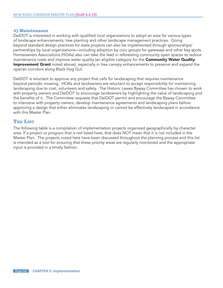#### **4) Maintenance**

DelDOT is interested in working with qualified local organizations to adopt an area for various types of landscape enhancements, tree planting and other landscape management practices. Going beyond standard design practices for state projects can also be implemented through sponsorships/ partnerships by local organizations—including adoption by civic groups for gateways and other key spots. Homeowners Associations (HOAs) also can take the lead in reforesting community open spaces to reduce maintenance costs and improve water quality (an eligible category for the Community Water Quality **Improvement Grant** noted above), especially in tree canopy enhancements to preserve and expand the riparian corridors along Black Hog Gut.

DelDOT is reluctant to approve any project that calls for landscaping that requires maintenance beyond periodic mowing. HOAs and landowners are reluctant to accept responsibility for maintaining landscaping due to cost, volunteers and safety. The Historic Lewes Byway Committee has chosen to work with property owners and DelDOT to encourage landowners by highlighting the value of landscaping and the benefits of it. The Committee requests that DelDOT permit and encourage the Byway Committee to intervene with property owners, develop maintenance agreements and landscaping plans before approving a design that either eliminates landscaping or cannot be effectively landscaped in accordance with this Master Plan.

#### **THE LIST**

The following table is a compilation of implementation projects organized geographically by character area. If a project or program that is not listed here, that does NOT mean that it is not included in the Master Plan. The projects noted here have been discussed throughout the planning process and this list is intended as a tool for ensuring that these priority areas are regularly monitored and the appropriate input is provided in a timely fashion.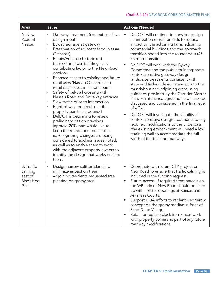| <b>Area</b>                                                        | <b>Issues</b>                                                                                                                                                                                                                                                                                                                                                                                                                                                                                                                                                                                                                                                                                                                                                                                                                                                                                                                                                                                                   | <b>Actions Needed</b>                                                                                                                                                                                                                                                                                                                                                                                                                                                                                                                                                                                                                                                                                                                                                                                                                                                                                                    |
|--------------------------------------------------------------------|-----------------------------------------------------------------------------------------------------------------------------------------------------------------------------------------------------------------------------------------------------------------------------------------------------------------------------------------------------------------------------------------------------------------------------------------------------------------------------------------------------------------------------------------------------------------------------------------------------------------------------------------------------------------------------------------------------------------------------------------------------------------------------------------------------------------------------------------------------------------------------------------------------------------------------------------------------------------------------------------------------------------|--------------------------------------------------------------------------------------------------------------------------------------------------------------------------------------------------------------------------------------------------------------------------------------------------------------------------------------------------------------------------------------------------------------------------------------------------------------------------------------------------------------------------------------------------------------------------------------------------------------------------------------------------------------------------------------------------------------------------------------------------------------------------------------------------------------------------------------------------------------------------------------------------------------------------|
| A. New<br>Road at<br>Nassau                                        | Gateway Treatment (context sensitive<br>$\bullet$<br>design input)<br>Byway signage at gateway<br>$\bullet$<br>Preservation of adjacent farm (Nassau<br>$\bullet$<br>Orchards)<br>Retain/Enhance historic red<br>barn commercial buildings as a<br>contributing factor to the New Road<br>corridor<br>Enhance access to existing and future<br>retail uses (Nassau Orchards and<br>retail businesses in historic barns)<br>Safety of rail-trail crossing with<br>$\bullet$<br>Nassau Road and Driveway entrance<br>Slow traffic prior to intersection<br>$\bullet$<br>Right-of-way required, possible<br>$\bullet$<br>property purchase required<br>DelDOT is beginning to review<br>$\bullet$<br>preliminary design drawings<br>(approx. 20%) and would like to<br>keep the roundabout concept as<br>is, recognizing changes are being<br>considered to address issues noted,<br>as well as to enable them to work<br>with the adjacent property owners to<br>identify the design that works best for<br>them. | DelDOT will continue to consider design<br>minimization or refinements to reduce<br>impact on the adjoining farm, adjoining<br>commercial buildings and the approach<br>transition speed into the roundabout (45-<br>25 mph transition)<br>DelDOT will work with the Byway<br>Committee and the public to incorporate<br>context sensitive gateway design<br>landscape treatments consistent with<br>state and federal design standards to the<br>roundabout and adjoining areas using<br>guidance provided by the Corridor Master<br>Plan. Maintenance agreements will also be<br>discussed and considered in the final level<br>of effort.<br>DelDOT will investigate the viability of<br>$\bullet$<br>context sensitive design treatments to any<br>required modifications to the underpass<br>(the existing embankment will need a low<br>retaining wall to accommodate the full<br>width of the trail and roadway). |
| <b>B.</b> Traffic<br>calming<br>east of<br><b>Black Hog</b><br>Gut | Design narrow splitter islands to<br>$\bullet$<br>minimize impact on trees<br>Adjoining residents requested tree<br>$\bullet$<br>planting on grassy area                                                                                                                                                                                                                                                                                                                                                                                                                                                                                                                                                                                                                                                                                                                                                                                                                                                        | Coordinate with future CTP project on<br>$\bullet$<br>New Road to ensure that traffic calming is<br>included in the funding request.<br>Future access, if required from parcels on<br>$\bullet$<br>the WB side of New Road should be lined<br>up with splitter openings at Kansas and<br>Arkansas Courts.<br>Support HOA efforts to replant Hedgerow<br>concept on the grassy median in front of<br>Sand Dune Village.<br>Retain or replace black iron fence/ work<br>with property owners as part of any future<br>roadway modifications                                                                                                                                                                                                                                                                                                                                                                                |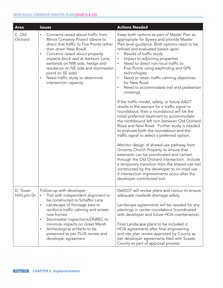| <b>Area</b>               | <b>Issues</b>                                                                                                                                                                                                                                                                                                                                                                                                        | <b>Actions Needed</b>                                                                                                                                                                                                                                                                                                                                                                                                                                                                                                                                                                                                                                                                                                                                                                                                                                                                                                                                                                                                                                                                                                                                                                                                                                                           |
|---------------------------|----------------------------------------------------------------------------------------------------------------------------------------------------------------------------------------------------------------------------------------------------------------------------------------------------------------------------------------------------------------------------------------------------------------------|---------------------------------------------------------------------------------------------------------------------------------------------------------------------------------------------------------------------------------------------------------------------------------------------------------------------------------------------------------------------------------------------------------------------------------------------------------------------------------------------------------------------------------------------------------------------------------------------------------------------------------------------------------------------------------------------------------------------------------------------------------------------------------------------------------------------------------------------------------------------------------------------------------------------------------------------------------------------------------------------------------------------------------------------------------------------------------------------------------------------------------------------------------------------------------------------------------------------------------------------------------------------------------|
| C. Old<br>Orchard         | Concerns raised about traffic from<br>$\bullet$<br>Minos Conaway Project (desire to<br>direct that traffic to Five Points rather<br>than down New Road)<br>Concerns raised about property<br>$\bullet$<br>impacts (brick wall at Ashburn Lane,<br>wetlands on NW side, hedge and<br>residence on NE side and stormwater<br>pond on SE side)<br>Need traffic study to determine<br>$\bullet$<br>intersection capacity | Keep both options as part of Master Plan as<br>appropriate for Byway and provide Master<br>Plan level guidance. Both options need to be<br>refined and evaluated based upon:<br>Results of traffic study<br>$\bullet$<br>Impact to adjoining properties<br>$\bullet$<br>Need to direct non-local traffic to<br>Five Points using wayfinding and GPS<br>technologies<br>Need to retain traffic calming objectives<br>$\bullet$<br>for New Road<br>Need to accommodate trail and pedestrian<br>$\bullet$<br>crossings<br>If the traffic model, safety, or future AADT<br>results in the warrant for a traffic signal or<br>roundabout, then a roundabout will be the<br>initial preferred treatment to accommodate<br>the northbound left turn between Old Orchard<br>Road and New Road. Further study is needed<br>to evaluate both the roundabout and the<br>traffic signal to select a preferred option.<br>Monitor design of shared-use pathway from<br>Groome Church Property to ensure that<br>extension can be coordinated and carried<br>through the Old Orchard intersection. Include<br>a temporary transition from the shared-use trail<br>constructed by the developer to on-road use<br>if intersection improvements occur after the<br>developer contributed trail. |
| D. Tower<br>Hill/Lynn Dr. | Follow-up with developer<br>Trail with independent alignment to<br>be constructed to Schaffer Lane<br>Landscape of frontage area to<br>$\bullet$<br>reinforce traffic calming and screen<br>new homes<br>Stormwater inspections/DNREC to<br>$\bullet$<br>minimize impacts on Great Marsh<br>Archeological artifacts to be<br>$\bullet$<br>preserved as per PLUS review and<br>developer agreement                    | DelDOT will review plans and concur to ensure<br>adequate roadside drainage safety.<br>Landscape agreements will be needed for any<br>plantings in center roundabout (coordinated<br>with developer and future HOA maintenance).<br>Final Landscape plans to be included in<br>HOA agreements after final engineering<br>and site plan review approved by County as<br>per developer agreements filed with Sussex<br>County as part of approval process                                                                                                                                                                                                                                                                                                                                                                                                                                                                                                                                                                                                                                                                                                                                                                                                                         |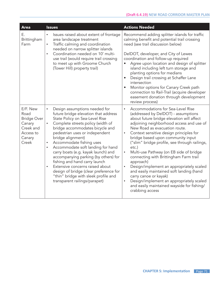| <b>Area</b>                                                                                   | <b>Issues</b>                                                                                                                                                                                                                                                                                                                                                                                                                                                                                                                                                                                                        | <b>Actions Needed</b>                                                                                                                                                                                                                                                                                                                                                                                                                                                                                                                                                                                                                                                                                                            |
|-----------------------------------------------------------------------------------------------|----------------------------------------------------------------------------------------------------------------------------------------------------------------------------------------------------------------------------------------------------------------------------------------------------------------------------------------------------------------------------------------------------------------------------------------------------------------------------------------------------------------------------------------------------------------------------------------------------------------------|----------------------------------------------------------------------------------------------------------------------------------------------------------------------------------------------------------------------------------------------------------------------------------------------------------------------------------------------------------------------------------------------------------------------------------------------------------------------------------------------------------------------------------------------------------------------------------------------------------------------------------------------------------------------------------------------------------------------------------|
| Ε.<br>Brittingham<br>Farm                                                                     | Issues raised about extent of frontage<br>$\bullet$<br>area landscape treatment<br>Traffic calming and coordination<br>$\bullet$<br>needed on narrow splitter islands<br>Coordination needed on 10' multi-<br>$\bullet$<br>use trail (would require trail crossing<br>to meet up with Groome Church<br>(Tower Hill) property trail)                                                                                                                                                                                                                                                                                  | Recommend adding splitter islands for traffic<br>calming benefit and potential trail crossing<br>need (see trail discussion below)<br>DelDOT, developer, and City of Lewes<br>coordination and follow-up required<br>Agree upon location and design of splitter<br>island including left turn storage and<br>planting options for medians<br>Design trail crossing at Schaffer Lane<br>$\bullet$<br>intersection<br>Monitor options for Canary Creek path<br>$\bullet$<br>connection to Rail-Trail (acquire developer<br>easement donation through development<br>review process)                                                                                                                                                |
| E/F. New<br>Road<br><b>Bridge Over</b><br>Canary<br>Creek and<br>Access to<br>Canary<br>Creek | Design assumptions needed for<br>$\bullet$<br>future bridge elevation that address<br>State Policy on Sea-Level Rise<br>Complete streets policy (width of<br>bridge accommodates bicycle and<br>pedestrian uses or independent<br>bridge alignment)<br>Accommodate fishing uses<br>Accommodate soft landing for hand<br>$\bullet$<br>carry boats (e.g. kayak launch) and<br>accompanying parking (by others) for<br>fishing and hand carry launch<br>Extensive concerns raised about<br>$\bullet$<br>design of bridge (clear preference for<br>"thin" bridge with sleek profile and<br>transparent railings/parapet) | Accommodations for Sea-Level Rise<br>$\bullet$<br>(addressed by DelDOT) - assumptions<br>about future bridge elevation will affect<br>adjoining neighborhood access and use of<br>New Road as evacuation route.<br>Context sensitive design principles for<br>$\bullet$<br>bridge based upon community input<br>("slim" bridge profile, see through railings,<br>etc.)<br>Multi-use Pathway (on EB side of bridge<br>$\bullet$<br>connecting with Brittingham Farm trail<br>approach)<br>Design/implement an appropriately scaled<br>$\bullet$<br>and easily maintained soft landing (hand<br>carry canoe or kayak)<br>Design/implement an appropriately scaled<br>and easily maintained wayside for fishing/<br>crabbing access |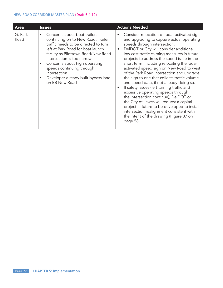| <b>Area</b>     | <b>Issues</b>                                                                                                                                                                                                                                                                                                                                                            | <b>Actions Needed</b>                                                                                                                                                                                                                                                                                                                                                                                                                                                                                                                                                                                                                                                                                                                                                                                                                                      |
|-----------------|--------------------------------------------------------------------------------------------------------------------------------------------------------------------------------------------------------------------------------------------------------------------------------------------------------------------------------------------------------------------------|------------------------------------------------------------------------------------------------------------------------------------------------------------------------------------------------------------------------------------------------------------------------------------------------------------------------------------------------------------------------------------------------------------------------------------------------------------------------------------------------------------------------------------------------------------------------------------------------------------------------------------------------------------------------------------------------------------------------------------------------------------------------------------------------------------------------------------------------------------|
| G. Park<br>Road | Concerns about boat trailers<br>continuing on to New Road. Trailer<br>traffic needs to be directed to turn<br>left at Park Road for boat launch<br>facility as Pilottown Road/New Road<br>intersection is too narrow<br>Concerns about high operating<br>$\bullet$<br>speeds continuing through<br>intersection<br>Developer already built bypass lane<br>on EB New Road | Consider relocation of radar activated sign<br>and upgrading to capture actual operating<br>speeds through intersection.<br>DelDOT or City will consider additional<br>$\bullet$<br>low cost traffic calming measures in future<br>projects to address the speed issue in the<br>short term, including relocating the radar<br>activated speed sign on New Road to west<br>of the Park Road intersection and upgrade<br>the sign to one that collects traffic volume<br>and speed data, if not already doing so.<br>If safety issues (left turning traffic and<br>$\bullet$<br>excessive operating speeds through<br>the intersection continue), DelDOT or<br>the City of Lewes will request a capital<br>project in future to be developed to install<br>intersection realignment consistent with<br>the intent of the drawing (Figure 87 on<br>page 58). |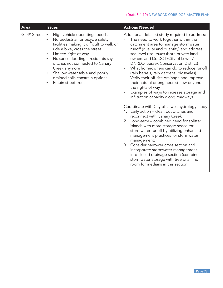| <b>Area</b>               | <b>Issues</b>                                                                                                                                                                                                                                                                                                                                                                                                   | <b>Actions Needed</b>                                                                                                                                                                                                                                                                                                                                                                                                                                                                                                                                                                                                                                                                                                                                                                                                                                                                                                                                                                                                                                                                                                                                                                                        |
|---------------------------|-----------------------------------------------------------------------------------------------------------------------------------------------------------------------------------------------------------------------------------------------------------------------------------------------------------------------------------------------------------------------------------------------------------------|--------------------------------------------------------------------------------------------------------------------------------------------------------------------------------------------------------------------------------------------------------------------------------------------------------------------------------------------------------------------------------------------------------------------------------------------------------------------------------------------------------------------------------------------------------------------------------------------------------------------------------------------------------------------------------------------------------------------------------------------------------------------------------------------------------------------------------------------------------------------------------------------------------------------------------------------------------------------------------------------------------------------------------------------------------------------------------------------------------------------------------------------------------------------------------------------------------------|
| G. 4 <sup>th</sup> Street | High vehicle operating speeds<br>$\bullet$<br>No pedestrian or bicycle safety<br>$\bullet$<br>facilities making it difficult to walk or<br>ride a bike, cross the street<br>Limited right-of-way<br>$\bullet$<br>Nuisance flooding - residents say<br>$\bullet$<br>ditches not connected to Canary<br>Creek anymore<br>Shallow water table and poorly<br>drained soils constrain options<br>Retain street trees | Additional detailed study required to address:<br>The need to work together within the<br>$\overline{a}$<br>catchment area to manage stormwater<br>runoff (quality and quantity) and address<br>sea-level rise issues (both private land<br>owners and DelDOT/City of Lewes/<br><b>DNREC/ Sussex Conservation District)</b><br>What homeowners can do to reduce runoff<br>$\overline{a}$<br>(rain barrels, rain gardens, bioswales)<br>Verify their off-site drainage and improve<br>$\overline{a}$<br>their natural or engineered flow beyond<br>the rights of way.<br>Examples of ways to increase storage and<br>$\overline{\phantom{a}}$<br>infiltration capacity along roadways<br>Coordinate with City of Lewes hydrology study<br>Early action - clean out ditches and<br>reconnect with Canary Creek<br>2. Long-term - combined need for splitter<br>islands with more storage space for<br>stormwater runoff by utilizing enhanced<br>management practices for stormwater<br>management;<br>3.<br>Consider narrower cross section and<br>incorporate stormwater management<br>into closed drainage section (combine<br>stormwater storage with tree pits if no<br>room for medians in this section) |